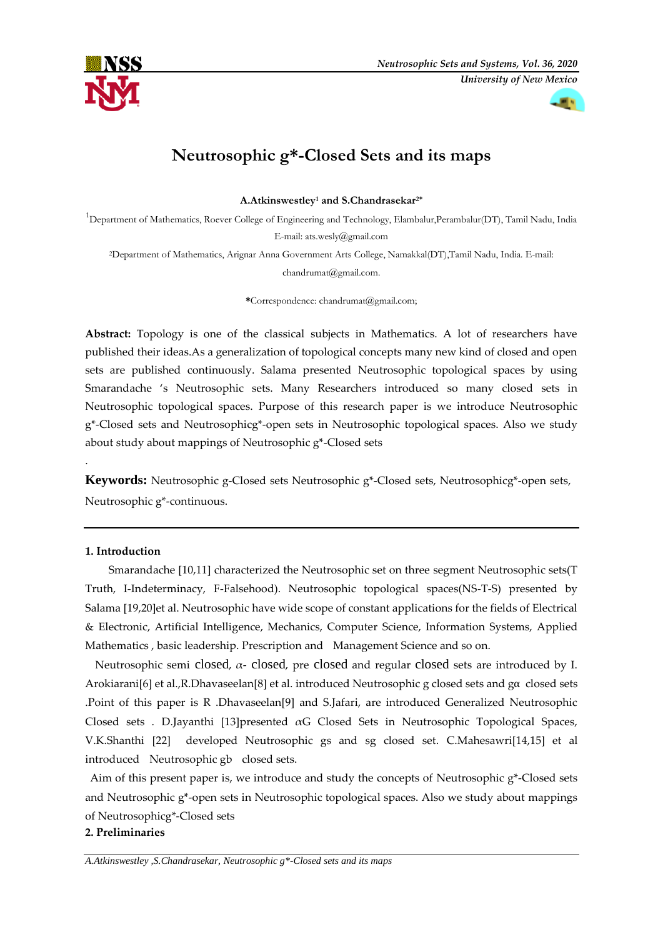



# **Neutrosophic g\*-Closed Sets and its maps**

**A.Atkinswestley<sup>1</sup> and S.Chandrasekar2\***

<sup>1</sup>Department of Mathematics, Roever College of Engineering and Technology, Elambalur,Perambalur(DT), Tamil Nadu, India E-mail: [ats.wesly@gmail.com](mailto:ats.wesly@gmail.com)

<sup>2</sup>Department of Mathematics, Arignar Anna Government Arts College, Namakkal(DT),Tamil Nadu, India. E-mail: [chandrumat@gmail.com.](mailto:chandrumat@gmail.com)

**\***Correspondence: chandrumat@gmail.com;

Abstract: Topology is one of the classical subjects in Mathematics. A lot of researchers have published their ideas.As a generalization of topological concepts many new kind of closed and open sets are published continuously. Salama presented Neutrosophic topological spaces by using Smarandache 's Neutrosophic sets. Many Researchers introduced so many closed sets in Neutrosophic topological spaces. Purpose of this research paper is we introduce Neutrosophic g\*-Closed sets and Neutrosophicg\*-open sets in Neutrosophic topological spaces. Also we study about study about mappings of Neutrosophic g\*-Closed sets

**Keywords:** Neutrosophic g-Closed sets Neutrosophic g\*-Closed sets, Neutrosophicg\*-open sets, Neutrosophic g\*-continuous.

## **1. Introduction**

.

Smarandache [10,11] characterized the Neutrosophic set on three segment Neutrosophic sets(T Truth, I-Indeterminacy, F-Falsehood). Neutrosophic topological spaces(NS-T-S) presented by Salama [19,20]et al. Neutrosophic have wide scope of constant applications for the fields of Electrical & Electronic, Artificial Intelligence, Mechanics, Computer Science, Information Systems, Applied Mathematics , basic leadership. Prescription and Management Science and so on.

Neutrosophic semi closed,  $\alpha$ - closed, pre closed and regular closed sets are introduced by I. Arokiarani[6] et al.,R.Dhavaseelan[8] et al. introduced Neutrosophic g closed sets and gα closed sets .Point of this paper is R .Dhavaseelan[9] and S.Jafari, are introduced Generalized Neutrosophic Closed sets . D.Jayanthi [13]presented αG Closed Sets in Neutrosophic Topological Spaces, V.K.Shanthi [22] developed Neutrosophic gs and sg closed set. C.Mahesawri[14,15] et al introduced Neutrosophic gb closed sets.

Aim of this present paper is, we introduce and study the concepts of Neutrosophic g\*-Closed sets and Neutrosophic g\*-open sets in Neutrosophic topological spaces. Also we study about mappings of Neutrosophicg\*-Closed sets

### **2. Preliminaries**

*A.Atkinswestley ,S.Chandrasekar, Neutrosophic g\*-Closed sets and its maps*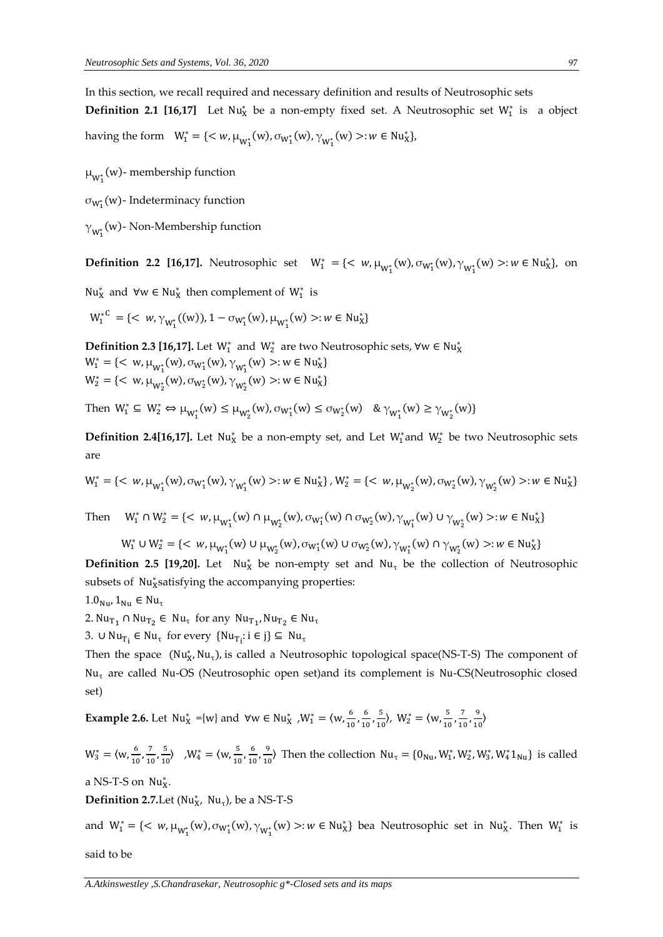In this section, we recall required and necessary definition and results of Neutrosophic sets **Definition 2.1 [16,17]** Let Nu<sub>X</sub> be a non-empty fixed set. A Neutrosophic set W<sub>1</sub><sup>\*</sup> is a object having the form  $W_1^* = \{ \langle w, \mu_{W_1^*}(w), \sigma_{W_1^*}(w), \gamma_{W_1^*}(w) \rangle : w \in Nu_X^* \},$ 

 $\mu_{W_1^*}(w)$ - membership function

 $\sigma_{W_1^*}(w)$ - Indeterminacy function

 $\gamma_{W_1^*}^{}(w)$ - Non-Membership function

**Definition 2.2 [16,17].** Neutrosophic set  $W_1^* = \{ \langle w, \mu_{W_1^*}(w), \sigma_{W_1^*}(w), \gamma_{W_1^*}(w) \rangle : w \in Nu_X^* \}$ , on

Nu<sup>\*</sup><sub>x</sub> and ∀w ∈ Nu<sup>\*</sup><sub>x</sub> then complement of W<sup>\*</sup><sub>1</sub> is

$$
W_1^{*C} = \{ \langle w, \gamma_{W_1^*}((w)), 1 - \sigma_{W_1^*}(w), \mu_{W_1^*}(w) >: w \in Nu_X^* \}
$$

**Definition 2.3 [16,17].** Let  $W_1^*$  and  $W_2^*$  are two Neutrosophic sets,  $\forall w \in Nu_X^*$  $W_1^* = \{ \langle w, \mu_{W_1^*}(w), \sigma_{W_1^*}(w), \gamma_{W_1^*}(w) \rangle : w \in Nu_X^* \}$  $W_2^* = \{ \langle w, \mu_{W_2^*}(w), \sigma_{W_2^*}(w), \gamma_{W_2^*}(w) \rangle : w \in Nu_X^* \}$ 

Then  $W_1^* \subseteq W_2^* \Leftrightarrow \mu_{W_1^*}(w) \le \mu_{W_2^*}(w), \sigma_{W_1^*}(w) \le \sigma_{W_2^*}(w)$   $\& \gamma_{W_1^*}(w) \ge \gamma_{W_2^*}(w)$ 

**Definition 2.4[16,17].** Let Nu<sub>X</sub> be a non-empty set, and Let W<sub>1</sub><sup>\*</sup> and W<sub>2</sub><sup>\*</sup> be two Neutrosophic sets are

$$
W_1^* = \{ \langle w, \mu_{W_1^*}(w), \sigma_{W_1^*}(w), \gamma_{W_1^*}(w) \rangle : w \in Nu_X^* \}, W_2^* = \{ \langle w, \mu_{W_2^*}(w), \sigma_{W_2^*}(w), \gamma_{W_2^*}(w) \rangle : w \in Nu_X^* \}
$$

Then  $W_1^* \cap W_2^* = \{ \langle w, \mu_{W_1^*}(w) \cap \mu_{W_2^*}(w), \sigma_{W_1^*}(w) \cap \sigma_{W_2^*}(w), \gamma_{W_1^*}(w) \cup \gamma_{W_2^*}(w) \rangle : w \in Nu_X^*\}$ 

 $W_1^* \cup W_2^* = \{ \langle w, \mu_{W_1^*}(w) \cup \mu_{W_2^*}(w), \sigma_{W_1^*}(w) \cup \sigma_{W_2^*}(w), \gamma_{W_1^*}(w) \cap \gamma_{W_2^*}(w) \rangle : w \in Nu_X^*\}$ 

**Definition 2.5 [19,20].** Let Nu<sub>x</sub><sup>\*</sup> be non-empty set and Nu<sub>τ</sub> be the collection of Neutrosophic subsets of Nu<sub>x</sub>satisfying the accompanying properties:

 $1.0_{\text{Nu}}$ ,  $1_{\text{Nu}} \in \text{Nu}_{\tau}$ 

2.  $Nu_{T_1} \cap Nu_{T_2} \in Nu_{\tau}$  for any  $Nu_{T_1}$ ,  $Nu_{T_2} \in Nu_{\tau}$ 

3. ∪ Nu<sub>T<sub>i</sub> ∈ Nu<sub>τ</sub> for every {Nu<sub>T<sub>i</sub></sub>: i ∈ j} ⊆ Nu<sub>τ</sub></sub>

Then the space (Nu<sub>X</sub>, Nu<sub>τ</sub>), is called a Neutrosophic topological space(NS-T-S) The component of  $Nu_{\tau}$  are called Nu-OS (Neutrosophic open set)and its complement is Nu-CS(Neutrosophic closed set)

**Example 2.6.** Let  $Nu_{X}^{*} = \{w\}$  and  $\forall w \in Nu_{X}^{*}$ ,  $W_{1}^{*} = \{w, \frac{6}{10}\}$  $\frac{6}{10}$ ,  $\frac{6}{10}$  $\frac{6}{10}$ ,  $\frac{5}{10}$  $\frac{5}{10}$ ,  $W_2^* = \langle w, \frac{5}{10} \rangle$  $\frac{5}{10}$ ,  $\frac{7}{10}$  $\frac{7}{10}$ ,  $\frac{9}{10}$  $\frac{9}{10}$ 

 $W_3^* = \langle w, \frac{6}{10} \rangle$  $\frac{6}{10}$ ,  $\frac{7}{10}$  $\frac{7}{10}$ ,  $\frac{5}{10}$  $\frac{5}{10}$  ,  $W_4^* = \langle w, \frac{5}{10} \rangle$  $\frac{5}{10}$ ,  $\frac{6}{10}$  $\frac{6}{10}$ ,  $\frac{9}{10}$  $\frac{9}{10}$  Then the collection  $Nu_{\tau} = \{0_{Nu}, W_1^*, W_2^*, W_3^*, W_4^*1_{Nu}\}$  is called

a NS-T-S on  $Nu<sub>X</sub><sup>*</sup>$ .

**Definition 2.7.** Let ( $Nu_{X}^*$ ,  $Nu_{\tau}$ ), be a NS-T-S

and  $W_1^* = \{ \langle w, \mu_{W_1^*}(w), \sigma_{W_1^*}(w), \gamma_{W_1^*}(w) \rangle : w \in Nu_X^* \}$  bea Neutrosophic set in Nu<sub>X</sub>. Then  $W_1^*$  is

said to be

*A.Atkinswestley ,S.Chandrasekar, Neutrosophic g\*-Closed sets and its maps*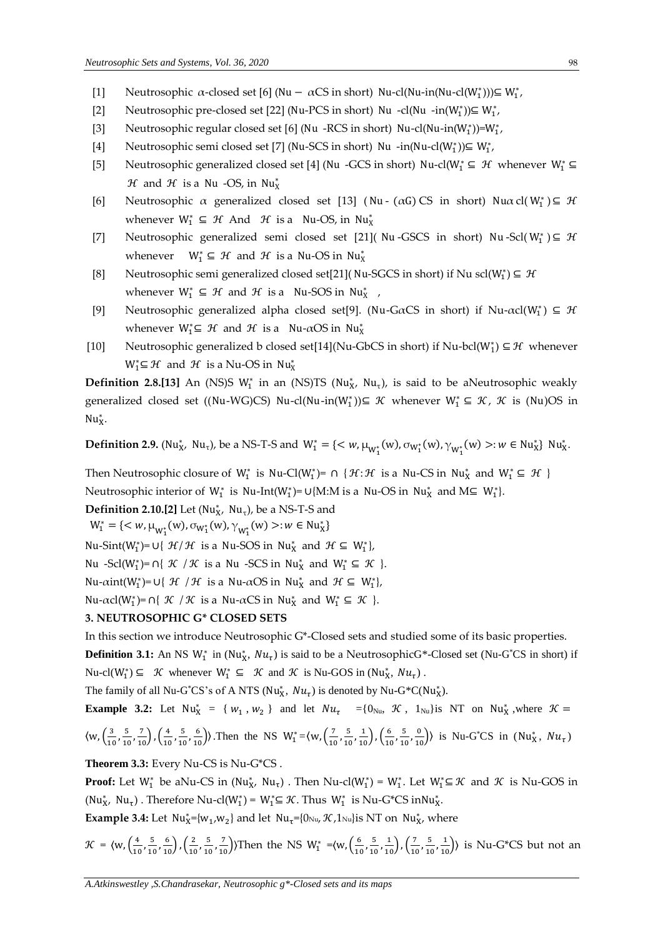- [1] Neutrosophic α-closed set [6] (Nu − αCS in short) Nu-cl(Nu-in(Nu-cl(W<sub>1</sub><sup>\*</sup>)))⊆ W<sub>1</sub><sup>\*</sup></sup>
- [2] Neutrosophic pre-closed set [22] (Nu-PCS in short) Nu -cl(Nu -in(W<sub>1</sub>\*)) $\subseteq$  W<sub>1</sub><sup>\*</sup>,
- [3] Neutrosophic regular closed set [6] (Nu -RCS in short) Nu-cl(Nu-in( $W_1^*$ ))= $W_1^*$ ,
- [4] Neutrosophic semi closed set [7] (Nu-SCS in short) Nu -in(Nu-cl(W<sub>1</sub>\*)) $\subseteq$  W<sub>1</sub><sup>\*</sup>,
- [5] Neutrosophic generalized closed set [4] (Nu -GCS in short) Nu-cl( $W_1^*$  ⊆  $H$  whenever  $W_1^*$  ⊆  $H$  and  $H$  is a Nu -OS, in Nu<sub>X</sub>
- [6] Neutrosophic α generalized closed set [13] (Nu (αG) CS in short) Nuα cl( $W_1^*$ ) ⊆ H whenever  $W_1^* \subseteq \mathcal{H}$  And  $\mathcal{H}$  is a Nu-OS, in Nu<sub>X</sub>
- [7] Neutrosophic generalized semi closed set [21]( Nu-GSCS in short) Nu-Scl( $W_1^*$ )  $\subseteq$   $H$ whenever  $W_1^* \subseteq \mathcal{H}$  and  $\mathcal{H}$  is a Nu-OS in Nu<sub>X</sub>
- [8] Neutrosophic semi generalized closed set[21]( Nu-SGCS in short) if Nu scl( $W_1^*$ )  $\subseteq$   $\mathcal{H}$ whenever  $W_1^* \subseteq \mathcal{H}$  and  $\mathcal{H}$  is a Nu-SOS in Nu<sub>X</sub>,
- [9] Neutrosophic generalized alpha closed set[9]. (Nu-GaCS in short) if Nu- $\alpha$ cl(W<sub>1</sub><sup>\*</sup>)  $\subseteq$  H whenever  $W_1^* \subseteq \mathcal{H}$  and  $\mathcal{H}$  is a Nu- $\alpha$ OS in Nu<sub>X</sub>
- [10] Neutrosophic generalized b closed set[14](Nu-GbCS in short) if Nu-bcl( $W_1^*$ )  $\subseteq \mathcal{H}$  whenever  $W_1^* \subseteq \mathcal{H}$  and  $\mathcal{H}$  is a Nu-OS in Nu<sub>X</sub>

**Definition 2.8.[13]** An (NS)S W<sub>1</sub><sup>\*</sup> in an (NS)TS (Nu<sub>x</sub><sup>\*</sup>, Nu<sub>τ</sub>), is said to be aNeutrosophic weakly generalized closed set ((Nu-WG)CS) Nu-cl(Nu-in(W<sub>1</sub><sup>\*</sup>))⊆ *K* whenever W<sub>1</sub><sup>\*</sup> ⊆ *K*, *K* is (Nu)OS in  $Nu_{X}^{*}$ .

**Definition 2.9.** (Nu<sub>X</sub>, Nu<sub>τ</sub>), be a NS-T-S and  $W_1^* = \{ \langle w, \mu_{W_1^*}(w), \sigma_{W_1^*}(w), \gamma_{W_1^*}(w) \rangle : w \in Nu_X^* \}$  Nu<sub>X</sub>.

Then Neutrosophic closure of  $W_1^*$  is Nu-Cl( $W_1^*$ )=  $\cap$  {  $\mathcal{H}$ :  $\mathcal{H}$  is a Nu-CS in Nu<sub>X</sub> and  $W_1^* \subseteq \mathcal{H}$  } Neutrosophic interior of  $W_1^*$  is Nu-Int(W<sub>1</sub><sup>\*</sup>)= ∪{M:M is a Nu-OS in Nu<sub>X</sub><sup>\*</sup> and M⊆ W<sub>1</sub><sup>\*</sup>}.

**Definition 2.10.[2]** Let ( $Nu_{X}^*$ ,  $Nu_{\tau}$ ), be a NS-T-S and

 $W_1^* = \{ \langle w, \mu_{W_1^*}(w), \sigma_{W_1^*}(w), \gamma_{W_1^*}(w) \rangle : w \in Nu_X^* \}$ 

Nu-Sint(W<sub>1</sub><sup>\*</sup>)= ∪{ *H*/*H* is a Nu-SOS in Nu<sub>X</sub><sup>\*</sup> and *H* ⊆ W<sub>1</sub><sup>\*</sup>},

Nu -Scl(W<sub>1</sub><sup>\*</sup>)=  $\cap$ { *K* / *K* is a Nu -SCS in Nu<sub>X</sub><sup>\*</sup> and W<sub>1</sub><sup>\*</sup>  $\subseteq$  *K* }.

Nu-αint(W<sup>\*</sup><sub>1</sub>)= ∪{ *H* / *H* is a Nu-αOS in Nu<sup>\*</sup><sub>X</sub> and *H* ⊆ W<sup>\*</sup><sub>1</sub>},

Nu-αcl(W<sup>\*</sup><sub>1</sub>)= ∩{ *K* / *K* is a Nu-αCS in Nu<sup>\*</sup><sub>X</sub> and W<sup>\*</sup><sub>1</sub> ⊆ *K* }.

### **3. NEUTROSOPHIC G\* CLOSED SETS**

In this section we introduce Neutrosophic G\*-Closed sets and studied some of its basic properties.

**Definition 3.1:** An NS  $W_1^*$  in (Nu<sub>X</sub>, Nu<sub>t</sub>) is said to be a NeutrosophicG\*-Closed set (Nu-G<sup>\*</sup>CS in short) if Nu-cl( $W_1^*$ ) ⊆ K whenever  $W_1^*$  ⊆ K and K is Nu-GOS in (Nu<sub>X</sub>, Nu<sub>τ</sub>).

The family of all Nu-G<sup>\*</sup>CS's of A NTS (Nu<sub>X</sub>,  $Nu_{\tau}$ ) is denoted by Nu-G<sup>\*</sup>C(Nu<sub>X</sub>).

**Example 3.2:** Let Nu<sub>X</sub> = {
$$
w_1
$$
,  $w_2$ } and let Nu<sub>τ</sub> = {0<sub>Nu</sub>, K, 1<sub>Nu</sub>} is NT on Nu<sub>X</sub><sup>\*</sup>, where K =   
\n $\langle w, (\frac{3}{10}, \frac{5}{10}, \frac{7}{10}), (\frac{4}{10}, \frac{5}{10}, \frac{6}{10}) \rangle$ . Then the NS  $W_1^* = \langle w, (\frac{7}{10}, \frac{5}{10}, \frac{1}{10}), (\frac{6}{10}, \frac{5}{10}, \frac{0}{10}) \rangle$  is Nu-G<sup>\*</sup>CS in (Nu<sub>X</sub><sup>\*</sup>, Nu<sub>τ</sub>)

**Theorem 3.3:** Every Nu-CS is Nu-G\*CS .

**Proof:** Let  $W_1^*$  be aNu-CS in (Nu<sub>X</sub>, Nu<sub>t</sub>). Then Nu-cl( $W_1^*$ ) =  $W_1^*$ . Let  $W_1^* \subseteq \mathcal{K}$  and  $\mathcal{K}$  is Nu-GOS in (Nu<sub>X</sub>, Nu<sub>τ</sub>). Therefore Nu-cl(W<sub>1</sub><sup>\*</sup>) = W<sub>1</sub><sup>\*</sup> $\subseteq$  *K*. Thus W<sub>1</sub><sup>\*</sup> is Nu-G<sup>\*</sup>CS inNu<sub>X</sub><sup>\*</sup>.

**Example 3.4:** Let  $Nu_{x}^{*}=[w_{1},w_{2}]$  and let  $Nu_{\tau}=[0_{Nu}, \mathcal{K}, 1_{Nu}]$  is NT on  $Nu_{x}^{*}$ , where

 $\mathcal{K} = \langle W, \left( \frac{4}{10} \right) \rangle$  $\frac{4}{10}$ ,  $\frac{5}{10}$  $\frac{5}{10}, \frac{6}{10}$ ,  $\left(\frac{2}{10}\right)$  $\frac{2}{10}$ ,  $\frac{5}{10}$  $\frac{5}{10}, \frac{7}{10}$ )Then the NS W<sub>1</sub><sup>\*</sup> = (w,  $\left(\frac{6}{10}\right)$  $\frac{6}{10}$ ,  $\frac{5}{10}$  $\frac{5}{10}, \frac{1}{10}$ ,  $\left(\frac{7}{10}\right)$  $\frac{7}{10}$ ,  $\frac{5}{10}$  $\left(\frac{5}{10}, \frac{1}{10}\right)$  is Nu-G\*CS but not an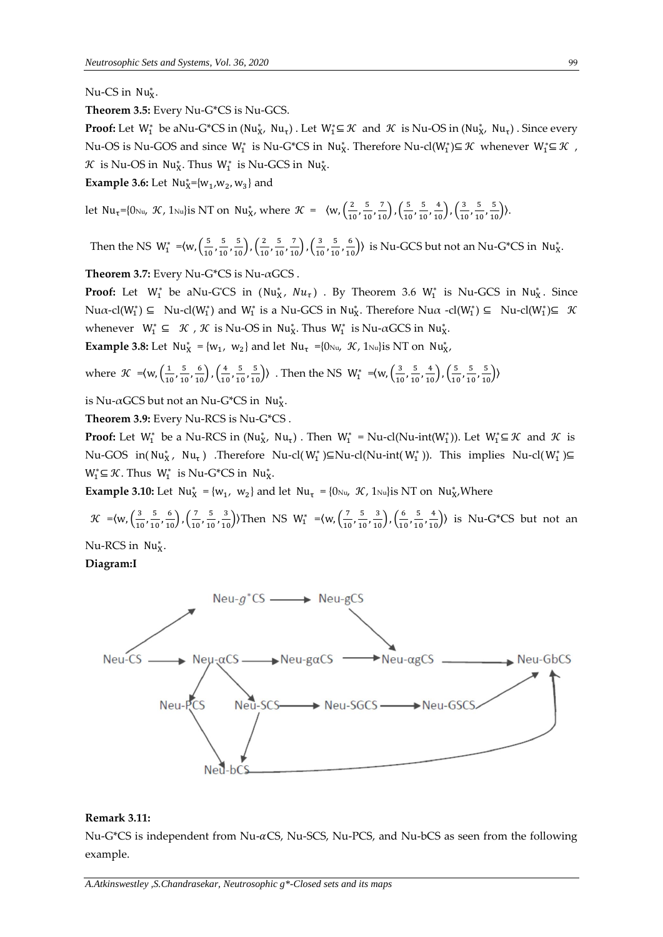Nu-CS in Nu<sub>x</sub>.

**Theorem 3.5:** Every Nu-G\*CS is Nu-GCS.

**Proof:** Let  $W_1^*$  be aNu-G\*CS in (Nu<sub>X</sub>, Nu<sub>τ</sub>). Let  $W_1^* \subseteq \mathcal{K}$  and  $\mathcal{K}$  is Nu-OS in (Nu<sub>X</sub>, Nu<sub>τ</sub>). Since every Nu-OS is Nu-GOS and since  $W_1^*$  is Nu-G<sup>\*</sup>CS in Nu<sub>X</sub>. Therefore Nu-cl( $W_1^*$ )⊆  $\mathcal K$  whenever  $W_1^*$ ⊆  $\mathcal K$  ,  $\mathcal{R}$  is Nu-OS in Nu<sub>X</sub>. Thus W<sub>1</sub><sup>\*</sup> is Nu-GCS in Nu<sub>X</sub>.

**Example 3.6:** Let  $Nu_{X}^{*}=[w_{1},w_{2},w_{3}]$  and

let Nu<sub>t</sub>={0<sub>Nu</sub>, *K*, 1<sub>Nu</sub>}is NT on Nu<sub>X</sub>, where  $\mathcal{K} = \langle w, \left(\frac{2}{10}\right)$  $\frac{2}{10}$ ,  $\frac{5}{10}$  $\frac{5}{10}, \frac{7}{10}$ ,  $\left(\frac{5}{10}\right)$  $\frac{5}{10}$ ,  $\frac{5}{10}$  $\frac{5}{10}, \frac{4}{10}$ ,  $\left(\frac{3}{10}\right)$  $\frac{3}{10}$ ,  $\frac{5}{10}$  $\frac{5}{10}, \frac{5}{10}$ ).

Then the NS  $W_1^* = \langle w, \left( \frac{5}{10} \right) \rangle$  $\frac{5}{10}$ ,  $\frac{5}{10}$  $\frac{5}{10}, \frac{5}{10}$ ,  $\left(\frac{2}{10}\right)$  $\frac{2}{10}$ ,  $\frac{5}{10}$  $\frac{5}{10}, \frac{7}{10}$ ,  $\left(\frac{3}{10}\right)$  $\frac{3}{10}$ ,  $\frac{5}{10}$  $\left(\frac{5}{10}, \frac{6}{10}\right)$  is Nu-GCS but not an Nu-G<sup>\*</sup>CS in Nu<sub>X</sub><sup>\*</sup>.

**Theorem 3.7:** Every Nu-G\*CS is Nu-αGCS .

**Proof:** Let  $W_1^*$  be aNu-G'CS in  $(Nu_X^*, Nu_\tau)$  . By Theorem 3.6  $W_1^*$  is Nu-GCS in Nu<sub>X</sub>. Since  $Nua\text{-}cl(W_1^*) \subseteq Nu\text{-}cl(W_1^*)$  and  $W_1^*$  is a Nu-GCS in  $Nu_X^*$ . Therefore  $Nua\text{-}cl(W_1^*) \subseteq Nu\text{-}cl(W_1^*) \subseteq \mathcal{K}$ whenever  $W_1^* \subseteq \mathcal{K}$ ,  $\mathcal{K}$  is Nu-OS in Nu<sub>X</sub>. Thus  $W_1^*$  is Nu- $\alpha$ GCS in Nu<sub>X</sub>.

**Example 3.8:** Let  $Nu_{X}^{*} = \{w_1, w_2\}$  and let  $Nu_{\tau} = \{0 \text{Nu}, \mathcal{K}, 1 \text{Nu}\}\$  is NT on  $Nu_{X}^{*}$ ,

where 
$$
\mathcal{K} = \langle w, \left(\frac{1}{10}, \frac{5}{10}, \frac{6}{10}\right), \left(\frac{4}{10}, \frac{5}{10}, \frac{5}{10}\right) \rangle
$$
. Then the NS  $W_1^* = \langle w, \left(\frac{3}{10}, \frac{5}{10}, \frac{4}{10}\right), \left(\frac{5}{10}, \frac{5}{10}, \frac{5}{10}\right) \rangle$ 

is Nu- $\alpha$ GCS but not an Nu-G\*CS in Nu<sub>x</sub>.

**Theorem 3.9:** Every Nu-RCS is Nu-G\*CS .

**Proof:** Let  $W_1^*$  be a Nu-RCS in  $(W_{X'}^*$   $Nu_{\tau})$  . Then  $W_1^* = Nu-cl(Nu-int(W_1^*))$ . Let  $W_1^* \subseteq \mathcal{K}$  and  $\mathcal{K}$  is Nu-GOS in(Nu<sub>x</sub>, Nu<sub>τ</sub>) .Therefore Nu-cl(W<sub>1</sub><sup>\*</sup>)⊆Nu-cl(Nu-int(W<sub>1</sub><sup>\*</sup>)). This implies Nu-cl(W<sub>1</sub><sup>\*</sup>)⊆  $W_1^* \subseteq \mathcal{K}$ . Thus  $W_1^*$  is Nu-G\*CS in Nu<sub>X</sub>.

**Example 3.10:** Let  $Nu_{X}^{*} = \{w_1, w_2\}$  and let  $Nu_{\tau} = \{0_{Nu}, \mathcal{K}, 1_{Nu}\}\$ is NT on  $Nu_{X}^{*}$ Where

 $\mathcal{K}$  =  $\left\langle w, \left( \frac{3}{10} \right) \right\rangle$  $\frac{3}{10}$ ,  $\frac{5}{10}$  $\frac{5}{10}, \frac{6}{10}$ ,  $\left(\frac{7}{10}\right)$  $\frac{7}{10}$ ,  $\frac{5}{10}$  $\left(\frac{5}{10}, \frac{3}{10}\right)$ ) Then NS W<sub>1</sub><sup>\*</sup> = {w,  $\left(\frac{7}{10}\right)$  $\frac{7}{10}$ ,  $\frac{5}{10}$  $\frac{5}{10}, \frac{3}{10}$ ,  $\left(\frac{6}{10}\right)$  $\frac{6}{10}$ ,  $\frac{5}{10}$  $\left(\frac{5}{10}, \frac{4}{10}\right)$  is Nu-G\*CS but not an

Nu-RCS in Nu<sub>x</sub>.

**Diagram:I**



#### **Remark 3.11:**

Nu-G\*CS is independent from Nu- $\alpha$ CS, Nu-SCS, Nu-PCS, and Nu-bCS as seen from the following example.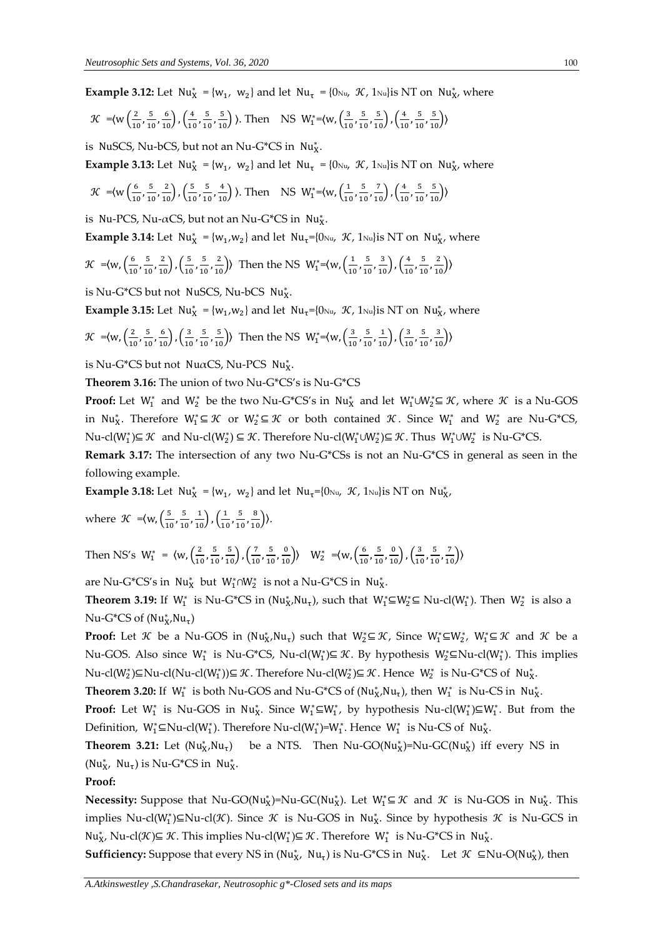**Example 3.12:** Let  $Nu_{X}^{*} = \{w_1, w_2\}$  and let  $Nu_{\tau} = \{0 \nu_1, \mathcal{K}, 1 \nu_2\}$  is NT on  $Nu_{X}^{*}$ , where

$$
\mathcal{K} = \left\{ w \left( \frac{2}{10}, \frac{5}{10}, \frac{6}{10} \right), \left( \frac{4}{10}, \frac{5}{10}, \frac{5}{10} \right) \right\}
$$
. Then NS W<sub>1</sub><sup>\*</sup>= $\left\{ w, \left( \frac{3}{10}, \frac{5}{10}, \frac{5}{10} \right), \left( \frac{4}{10}, \frac{5}{10}, \frac{5}{10} \right) \right\}$ 

is NuSCS, Nu-bCS, but not an Nu-G\*CS in  $Nu_{X}^*$ .

**Example 3.13:** Let  $Nu_{X}^{*} = \{w_1, w_2\}$  and let  $Nu_{\tau} = \{0 \nu_1, \mathcal{K}, 1 \nu_2\}$  is NT on  $Nu_{X}^{*}$ , where

$$
\mathcal{K} = \left\{ w \left( \frac{6}{10}, \frac{5}{10}, \frac{2}{10} \right), \left( \frac{5}{10}, \frac{5}{10}, \frac{4}{10} \right) \right\}
$$
. Then NS W<sub>1</sub><sup>\*</sup>= $\left\{ w, \left( \frac{1}{10}, \frac{5}{10}, \frac{7}{10} \right), \left( \frac{4}{10}, \frac{5}{10}, \frac{5}{10} \right) \right\}$ 

is Nu-PCS, Nu- $\alpha$ CS, but not an Nu-G\*CS in Nu<sub>X</sub>.

**Example 3.14:** Let  $Nu_{X}^{*} = \{w_1, w_2\}$  and let  $Nu_{\tau} = \{0 \text{Nu}_{\tau}, \mathcal{K}, 1 \text{Nu}_{\tau}\}$  is NT on  $Nu_{X}^{*}$ , where

$$
\mathcal{K} = \langle w, \left(\frac{6}{10}, \frac{5}{10}, \frac{2}{10}\right), \left(\frac{5}{10}, \frac{5}{10}, \frac{2}{10}\right) \rangle \text{ Then the NS } W_1^* = \langle w, \left(\frac{1}{10}, \frac{5}{10}, \frac{3}{10}\right), \left(\frac{4}{10}, \frac{5}{10}, \frac{2}{10}\right) \rangle
$$

is Nu-G\*CS but not NuSCS, Nu-bCS Nu<sub>x</sub>.

**Example 3.15:** Let  $Nu_{X}^{*} = \{w_1, w_2\}$  and let  $Nu_{\tau} = \{0 \text{Nu}_{\tau}, \mathcal{K}, 1 \text{Nu}_{\tau}\}$  is NT on  $Nu_{X}^{*}$ , where

$$
\mathcal{K} = \langle w, \left(\frac{2}{10}, \frac{5}{10}, \frac{6}{10}\right), \left(\frac{3}{10}, \frac{5}{10}, \frac{5}{10}\right) \rangle \text{ Then the NS } W_1^* = \langle w, \left(\frac{3}{10}, \frac{5}{10}, \frac{1}{10}\right), \left(\frac{3}{10}, \frac{5}{10}, \frac{3}{10}\right) \rangle
$$

is Nu-G\*CS but not NuαCS, Nu-PCS Nu<sub>x</sub><sup>\*</sup>.

**Theorem 3.16:** The union of two Nu-G\*CS's is Nu-G\*CS

**Proof:** Let  $W_1^*$  and  $W_2^*$  be the two Nu-G\*CS's in  $Nu_X^*$  and let  $W_1^* \cup W_2^* \subseteq \mathcal{K}$ , where  $\mathcal{K}$  is a Nu-GOS in Nu<sub>X</sub><sup>\*</sup>. Therefore  $W_1^* \subseteq \mathcal{K}$  or  $W_2^* \subseteq \mathcal{K}$  or both contained  $\mathcal{K}$ . Since  $W_1^*$  and  $W_2^*$  are Nu-G<sup>\*</sup>CS, Nu-cl(W<sub>1</sub><sup>\*</sup>)⊆  $\mathcal{K}$  and Nu-cl(W<sub>2</sub><sup>\*</sup>) ⊆  $\mathcal{K}$ . Therefore Nu-cl(W<sub>1</sub><sup>\*∪W</sup><sub>2</sub><sup>\*</sup>)⊆  $\mathcal{K}$ . Thus W<sub>1</sub><sup>\*∪W</sup><sub>2</sub><sup>\*</sup> is Nu-G<sup>\*</sup>CS.

**Remark 3.17:** The intersection of any two Nu-G\*CSs is not an Nu-G\*CS in general as seen in the following example.

**Example 3.18:** Let  $Nu_X^* = \{w_1, w_2\}$  and let  $Nu_\tau = \{0 \text{Nu}, \mathcal{K}, 1 \text{Nu}\}\$  is NT on  $Nu_X^*$ ,

where  $\mathcal{K} = \langle w, \left( \frac{5}{10} \right) \rangle$  $\frac{5}{10}$ ,  $\frac{5}{10}$  $\frac{5}{10}, \frac{1}{10}$ ,  $\left(\frac{1}{10}\right)$  $\frac{1}{10}$ ,  $\frac{5}{10}$  $\frac{5}{10}, \frac{8}{10}$ ).

Then NS's  $W_1^* = \langle w, \left(\frac{2}{10}\right)^2 \rangle$  $\frac{2}{10}$ ,  $\frac{5}{10}$  $\frac{5}{10}, \frac{5}{10}$ ,  $\left(\frac{7}{10}\right)$  $\frac{7}{10}$ ,  $\frac{5}{10}$  $\left(\frac{5}{10}, \frac{0}{10}\right)$  W<sub>2</sub><sup>\*</sup> = (w,  $\left(\frac{6}{10}\right)$  $\frac{6}{10}$ ,  $\frac{5}{10}$  $\frac{5}{10}, \frac{0}{10}$ ,  $\left(\frac{3}{10}\right)$  $\frac{3}{10}$ ,  $\frac{5}{10}$  $\frac{5}{10}, \frac{7}{10}$ )

are Nu-G\*CS's in  $Nu_{X}^{*}$  but  $W_{1}^{*} \cap W_{2}^{*}$  is not a Nu-G\*CS in  $Nu_{X}^{*}$ .

**Theorem 3.19:** If  $W_1^*$  is Nu-G\*CS in (Nu<sub>X</sub>,Nu<sub>τ</sub>), such that  $W_1^* \subseteq W_2^* \subseteq Nu$ -cl( $W_1^*$ ). Then  $W_2^*$  is also a Nu-G<sup>\*</sup>CS of (Nu<sub>X</sub>,Nu<sub>τ</sub>)

**Proof:** Let K be a Nu-GOS in  $(Nu_X^*,Nu_\tau)$  such that  $W_2^* \subseteq K$ , Since  $W_1^* \subseteq W_2^*$ ,  $W_1^* \subseteq K$  and K be a Nu-GOS. Also since W<sub>1</sub><sup>\*</sup> is Nu-G<sup>\*</sup>CS, Nu-cl(W<sub>1</sub><sup>\*</sup>)⊆  $\mathcal{K}$ . By hypothesis W<sub>2</sub><sup>\*</sup>⊆Nu-cl(W<sub>1</sub><sup>\*</sup>). This implies  $\mathrm{Nu}\text{-}\mathrm{cl}(W_2^*)\subseteq \mathrm{Nu}\text{-}\mathrm{cl}(W_1^*)$ ) $\subseteq \mathcal{K}$ . Therefore  $\mathrm{Nu}\text{-}\mathrm{cl}(W_2^*)$  $\subseteq \mathcal{K}$ . Hence  $\ W_2^*$  is  $\mathrm{Nu}\text{-}\mathrm{G}^*\mathrm{CS}$  of  $\ \mathrm{Nu}_X^*$ .

**Theorem 3.20:** If  $W_1^*$  is both Nu-GOS and Nu-G\*CS of  $(Nu_X^*Nu_\tau)$ , then  $W_1^*$  is Nu-CS in Nu<sub>X</sub>.

**Proof:** Let  $W_1^*$  is Nu-GOS in Nu<sub>X</sub>. Since  $W_1^* \subseteq W_1^*$ , by hypothesis Nu-cl( $W_1^*$ ) $\subseteq W_1^*$ . But from the Definition,  $W_1^* \subseteq Nu\text{-cl}(W_1^*)$ . Therefore Nu-cl( $W_1^*$ )= $W_1^*$ . Hence  $W_1^*$  is Nu-CS of Nu<sub>X</sub>.

**Theorem 3.21:** Let  $(\text{Nu}_{\text{X}}^{*}, \text{Nu}_{\text{\tau}})$ ) be a NTS. Then  $Nu\text{-}GO(Nu^*_X)=Nu\text{-}GC(Nu^*_X)$  iff every NS in  $(Nu_X^*$ ,  $Nu_\tau)$  is Nu-G\*CS in Nu<sub>X</sub>.

#### **Proof:**

**Necessity:** Suppose that Nu-GO(Nu<sub>X</sub>)=Nu-GC(Nu<sub>X</sub>). Let  $W_1^* \subseteq \mathcal{K}$  and  $\mathcal{K}$  is Nu-GOS in Nu<sub>X</sub>. This implies Nu-cl(W<sup>\*</sup>)⊆Nu-cl(K). Since K is Nu-GOS in Nu<sup>\*</sup><sub>x</sub>. Since by hypothesis K is Nu-GCS in Nu<sub>X</sub>, Nu-cl(K)⊆ K. This implies Nu-cl(W<sub>1</sub><sup>\*</sup>)⊆ K. Therefore W<sub>1</sub><sup>\*</sup> is Nu-G\*CS in Nu<sub>X</sub>.

**Sufficiency:** Suppose that every NS in (Nu<sub>X</sub>, Nu<sub>t</sub>) is Nu-G\*CS in Nu<sub>X</sub>. Let  $\mathcal{K} \subseteq Nu-O(Nu_X^*)$ , then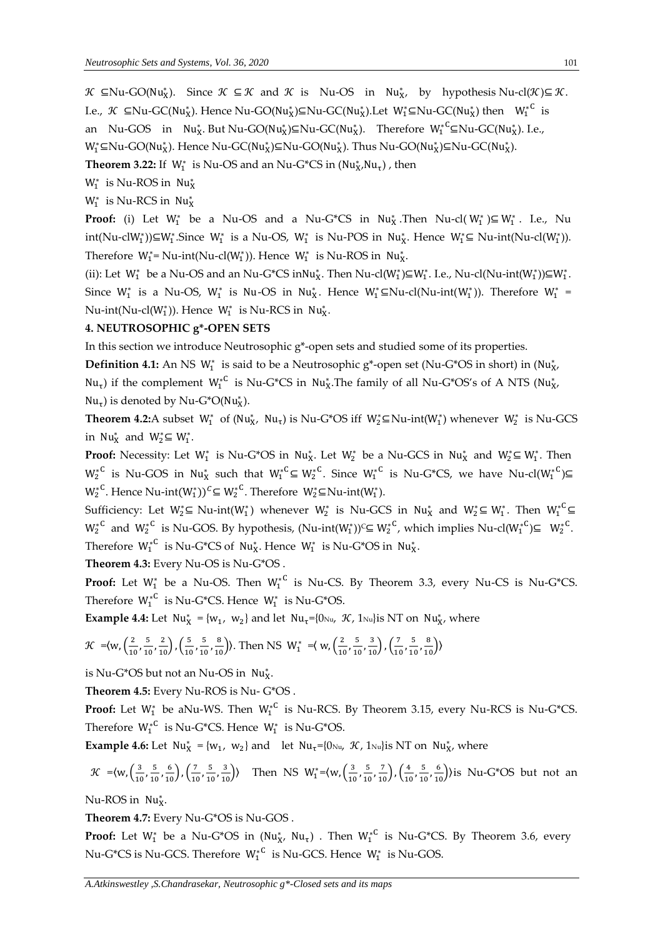$\mathcal{H}$  ⊆Nu-GO(Nu<sub>X</sub>). Since  $\mathcal{K} \subseteq \mathcal{K}$  and  $\mathcal{K}$  is Nu-OS in Nu<sub>X</sub>, by hypothesis Nu-cl( $\mathcal{K}$ )⊆  $\mathcal{K}$ . I.e.,  $\mathcal{K} \subseteq Nu\text{-GC}(Nu_X^*)$ . Hence Nu-GO(Nu<sub>X</sub>)⊆Nu-GC(Nu<sub>X</sub>).Let W<sub>1</sub>′⊆Nu-GC(Nu<sub>X</sub>) then W<sub>1</sub><sup>∗C</sup> is an Nu-GOS in Nu<sub>X</sub>. But Nu-GO(Nu<sub>X</sub>)⊆Nu-GC(Nu<sub>X</sub>). Therefore  $W_1^*{}^C \subseteq Nu\text{-}GC(Nu_X^*)$ . I.e., W<sub>1</sub>′⊆Nu-GO(Nu<sub>X</sub>). Hence Nu-GC(Nu<sub>X</sub>)⊆Nu-GO(Nu<sub>X</sub>). Thus Nu-GO(Nu<sub>X</sub>)⊆Nu-GC(Nu<sub>X</sub>).

**Theorem 3.22:** If  $W_1^*$  is Nu-OS and an Nu-G\*CS in  $(Nu_X^*,Nu_\tau)$ , then

 $W_1^*$  is Nu-ROS in Nu $_X^*$ 

 $W_1^*$  is Nu-RCS in Nu $_X^*$ 

**Proof:** (i) Let  $W_1^*$  be a Nu-OS and a Nu-G\*CS in Nu<sub>X</sub>. Then Nu-cl( $W_1^*$ ) $\subseteq W_1^*$ . I.e., Nu  $int(Nu-clW_1^*)\subseteq W_1^*$ . Since  $W_1^*$  is a Nu-OS,  $W_1^*$  is Nu-POS in Nu<sub>X</sub>. Hence  $W_1^* \subseteq Nu-int(Nu-cl(W_1^*)$ . Therefore  $W_1^*$ = Nu-int(Nu-cl( $W_1^*$ )). Hence  $W_1^*$  is Nu-ROS in Nu<sub>X</sub>.

(ii): Let  $W_1^*$  be a Nu-OS and an Nu-G\*CS inNu<sub>X</sub>. Then Nu-cl( $W_1^*$ ) $\subseteq W_1^*$ . I.e., Nu-cl(Nu-int( $W_1^*$ )) $\subseteq W_1^*$ . Since  $W_1^*$  is a Nu-OS,  $W_1^*$  is Nu-OS in Nu<sub>X</sub>. Hence  $W_1^* \subseteq Nu-cl(Nu-int(W_1^*))$ . Therefore  $W_1^* =$ Nu-int(Nu-cl( $W_1^*$ )). Hence  $W_1^*$  is Nu-RCS in Nu<sub>X</sub>.

## **4. NEUTROSOPHIC g\*-OPEN SETS**

In this section we introduce Neutrosophic g\*-open sets and studied some of its properties.

Definition 4.1: An NS W<sub>1</sub><sup>\*</sup> is said to be a Neutrosophic g<sup>\*</sup>-open set (Nu-G<sup>\*</sup>OS in short) in (Nu<sub>X</sub>, Nu<sub>τ</sub>) if the complement  $W_1^*{}^C$  is Nu-G\*CS in Nu<sub>x</sub>. The family of all Nu-G\*OS's of A NTS (Nu<sub>x</sub>, Nu<sub>τ</sub>) is denoted by Nu-G\*O(Nu<sub>x</sub><sup>\*</sup>).

**Theorem 4.2:**A subset  $W_1^*$  of ( $Nu_1^*$ ,  $Nu_1$ ) is Nu-G\*OS iff  $W_2^*$ ⊆Nu-int( $W_1^*$ ) whenever  $W_2^*$  is Nu-GCS in Nu<sub>X</sub><sup>\*</sup> and  $W_2^* \subseteq W_1^*$ .

**Proof:** Necessity: Let  $W_1^*$  is Nu-G\*OS in Nu<sub>X</sub>. Let  $W_2^*$  be a Nu-GCS in Nu<sub>X</sub> and  $W_2^* \subseteq W_1^*$ . Then  $W_2^{*C}$  is Nu-GOS in Nu<sub>X</sub> such that  $W_1^{*C} \subseteq W_2^{*C}$ . Since  $W_1^{*C}$  is Nu-G\*CS, we have Nu-cl $(W_1^{*C}) \subseteq$  $W_2^*$ <sup>C</sup>. Hence Nu-int $(W_1^*)^C \subseteq W_2^*$ <sup>C</sup>. Therefore  $W_2^* \subseteq Nu\text{-}\mathop{\text{int}}\nolimits(W_1^*)$ .

Sufficiency: Let W<sup>\*</sup>2⊆ Nu-int(W<sup>\*</sup>) whenever W<sup>\*</sup> is Nu-GCS in Nu<sup>\*</sup> and W<sup>\*</sup>2⊆ W<sup>\*</sup>. Then W<sup>\*c</sup>⊆  $W_2^{*C}$  and  $W_2^{*C}$  is Nu-GOS. By hypothesis, (Nu-int( $W_1^*$ ))<sup>⊂</sup>⊆  $W_2^{*C}$ , which implies Nu-cl( $W_1^{*C}$ )⊆  $W_2^{*C}$ . Therefore  $W_1^*^C$  is Nu-G\*CS of Nu<sub>X</sub>. Hence  $W_1^*$  is Nu-G\*OS in Nu<sub>X</sub>.

**Theorem 4.3:** Every Nu-OS is Nu-G\*OS .

**Proof:** Let  $W_1^*$  be a Nu-OS. Then  $W_1^{*C}$  is Nu-CS. By Theorem 3.3, every Nu-CS is Nu-G\*CS. Therefore  $W_1^*{}^C$  is Nu-G\*CS. Hence  $W_1^*$  is Nu-G\*OS.

**Example 4.4:** Let  $Nu_{X}^{*} = \{w_1, w_2\}$  and let  $Nu_{\tau} = \{0 \text{Nu}_{\tau}, \mathcal{K}, 1 \text{Nu}_{\tau}\}$  is NT on  $Nu_{X}^{*}$ , where

$$
\mathcal{K} = \langle w, \left(\frac{2}{10}, \frac{5}{10}, \frac{2}{10}\right), \left(\frac{5}{10}, \frac{5}{10}, \frac{8}{10}\right) \rangle. \text{ Then NS } W_1^* = \langle w, \left(\frac{2}{10}, \frac{5}{10}, \frac{3}{10}\right), \left(\frac{7}{10}, \frac{5}{10}, \frac{8}{10}\right) \rangle
$$

is Nu-G\*OS but not an Nu-OS in  $Nu_{X}^{*}$ .

**Theorem 4.5:** Every Nu-ROS is Nu- G\*OS .

**Proof:** Let  $W_1^*$  be aNu-WS. Then  $W_1^*$ <sup>C</sup> is Nu-RCS. By Theorem 3.15, every Nu-RCS is Nu-G\*CS. Therefore  $W_1^*{}^C$  is Nu-G\*CS. Hence  $W_1^*$  is Nu-G\*OS.

**Example 4.6:** Let  $Nu_{X}^{*} = \{w_1, w_2\}$  and let  $Nu_{\tau} = \{0 \text{Nu}_{\tau}, \mathcal{K}, 1 \text{Nu}\}$  is NT on  $Nu_{X}^{*}$ , where

$$
\mathcal{K} = \langle w, \left(\frac{3}{10}, \frac{5}{10}, \frac{6}{10}\right), \left(\frac{7}{10}, \frac{5}{10}, \frac{3}{10}\right) \rangle
$$
 Then NS  $W_1^* = \langle w, \left(\frac{3}{10}, \frac{5}{10}, \frac{7}{10}\right), \left(\frac{4}{10}, \frac{5}{10}, \frac{6}{10}\right) \rangle$  is Nu-G<sup>\*</sup>OS but not an

Nu-ROS in Nu<sub>x</sub>.

**Theorem 4.7:** Every Nu-G\*OS is Nu-GOS .

**Proof:** Let  $W_1^*$  be a Nu-G\*OS in (Nu $^*_X$ , Nu<sub>t</sub>) . Then  $W_1^{*C}$  is Nu-G\*CS. By Theorem 3.6, every Nu-G\*CS is Nu-GCS. Therefore  $W_1^{*C}$  is Nu-GCS. Hence  $W_1^*$  is Nu-GOS.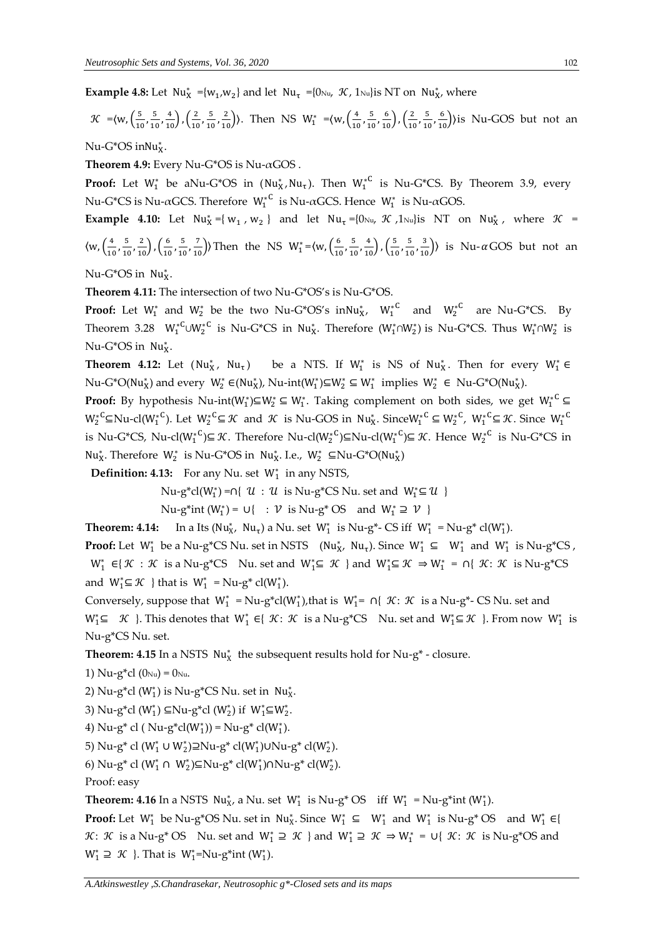**Example 4.8:** Let  $Nu_{X}^{*} = \{w_1, w_2\}$  and let  $Nu_{\tau} = \{0 \text{Nu}_{\tau}, \mathcal{K}, 1 \text{Nu}\}\$  is NT on  $Nu_{X}^{*}$ , where

$$
\mathcal{K} = \langle w, \left(\frac{5}{10}, \frac{5}{10}, \frac{4}{10}\right), \left(\frac{2}{10}, \frac{5}{10}, \frac{2}{10}\right) \rangle
$$
. Then NS  $W_1^* = \langle w, \left(\frac{4}{10}, \frac{5}{10}, \frac{6}{10}\right), \left(\frac{2}{10}, \frac{5}{10}, \frac{6}{10}\right) \rangle$  is Nu-GOS but not an

 $Nu-G^*OS$  in $Nu_X^*$ .

**Theorem 4.9:** Every Nu-G\*OS is Nu-αGOS .

**Proof:** Let  $W_1^*$  be aNu-G\*OS in  $(Nu_X^*,Nu_\tau)$ . Then  $W_1^{*C}$  is Nu-G\*CS. By Theorem 3.9, every Nu-G\*CS is Nu-αGCS. Therefore  $W_1^*$ <sup>C</sup> is Nu-αGCS. Hence  $W_1^*$  is Nu-αGOS.

**Example 4.10:** Let  $Nu_{X}^* = \{ w_1, w_2 \}$  and let  $Nu_{\tau} = \{0 \text{Nu}_{\tau}, \mathcal{K} \}$ ,  $1 \text{Nu}_{\tau}$  is NT on  $Nu_{X}^*$ , where  $\mathcal{K} =$  $\left\langle w,\left(\frac{4}{\epsilon}\right)\right\rangle$  $\frac{4}{10}$ ,  $\frac{5}{10}$  $\frac{5}{10}, \frac{2}{10}$ ,  $\left(\frac{6}{10}\right)$  $\frac{6}{10}$ ,  $\frac{5}{10}$  $\left(\frac{5}{10}, \frac{7}{10}\right)$ ) Then the NS W<sup>\*</sup> =  $\left\langle w, \frac{6}{10}\right\rangle$  $\frac{6}{10}$ ,  $\frac{5}{10}$  $\frac{5}{10}, \frac{4}{10}$ ,  $\left(\frac{5}{10}\right)$  $\frac{5}{10}$ ,  $\frac{5}{10}$  $\left(\frac{5}{10}, \frac{3}{10}\right)$  is Nu- $\alpha$  GOS but not an

Nu-G\*OS in Nu<sub>x</sub>.

**Theorem 4.11:** The intersection of two Nu-G\*OS's is Nu-G\*OS.

**Proof:** Let  $W_1^*$  and  $W_2^*$  be the two Nu-G\*OS's inNu<sub>X</sub>,  $W_1^{*C}$  and  $W_2^{*C}$  are Nu-G\*CS. By Theorem 3.28  $W_1^*{}^C \cup W_2^*{}^C$  is Nu-G\*CS in Nu<sub>X</sub>. Therefore  $(W_1^* \cap W_2^*)$  is Nu-G\*CS. Thus  $W_1^* \cap W_2^*$  is Nu-G\*OS in Nu<sub>x</sub>.

**Theorem 4.12:** Let  $(Nu_X^* , Nu_\tau)$ ) be a NTS. If  $W_1^*$  is NS of Nu<sub>X</sub><sup>\*</sup>. Then for every  $W_1^* \in$  $Nu-G^*O(Nu^*_X)$  and every  $W^*_2 \in (Nu^*_X)$ ,  $Nu\text{-}int(W^*_1)\subseteq W^*_2 \subseteq W^*_1$  implies  $W^*_2 \in Nu-G^*O(Nu^*_X)$ .

**Proof:** By hypothesis Nu-int(W<sup>\*</sup>)⊆W<sup>\*</sup> ⊆ W<sup>\*</sup>. Taking complement on both sides, we get W<sup>\*</sup><sup>C</sup> ⊆  $W_2^*{}^C$ ⊆Nu-cl( $W_1^*{}^C$ ). Let  $W_2^*{}^C \subseteq \mathcal{K}$  and  $\mathcal{K}$  is Nu-GOS in Nu<sub>X</sub>. Since  $W_1^*{}^C \subseteq W_2^*{}^C$ ,  $W_1^*{}^C \subseteq \mathcal{K}$ . Since  $W_1^*{}^C$ is Nu-G\*CS, Nu-cl( $W_1^{\ast C}$ ) $\subseteq \mathcal{K}$ . Therefore Nu-cl( $W_2^{\ast C}$ ) $\subseteq$ Nu-cl( $W_1^{\ast C}$ ) $\subseteq \mathcal{K}$ . Hence  $W_2^{\ast C}$  is Nu-G\*CS in Nu<sub>X</sub><sup>\*</sup>. Therefore  $W_2^*$  is Nu-G\*OS in Nu<sub>X</sub><sup>\*</sup>. I.e.,  $W_2^* \subseteq Nu-G^*O(Nu_X^*)$ 

**Definition: 4.13:** For any Nu. set  $W_1^*$  in any NSTS,

Nu-g\*cl(W<sub>1</sub><sup>\*</sup>) =∩{ U : U is Nu-g\*CS Nu. set and W<sub>1</sub><sup>\*</sup>  $\subseteq$  U }

Nu-g\*int  $(W_1^*) = U\{$  :  $V$  is Nu-g\* OS and  $W_1^* \supseteq V$  }

**Theorem: 4.14:** In a Its ( $Nu_x^*$ ,  $Nu_\tau$ ) a Nu. set  $W_1^*$  is Nu-g<sup>\*</sup>- CS iff  $W_1^*$  = Nu-g<sup>\*</sup> cl( $W_1^*$ ).

**Proof:** Let  $W_1^*$  be a Nu-g\*CS Nu. set in NSTS (Nu<sub>X</sub>, Nu<sub>t</sub>). Since  $W_1^* \subseteq W_1^*$  and  $W_1^*$  is Nu-g\*CS,  $W_1^* \in \{ \mathcal{K} : \mathcal{K} \text{ is a Nu-g*CS }\}$  Nu. set and  $W_1^* \subseteq \mathcal{K}$  and  $W_1^* \subseteq \mathcal{K} \Rightarrow W_1^* = \bigcap \{ \mathcal{K} : \mathcal{K} \text{ is Nu-g*CS }\}$ and  $W_1^* \subseteq \mathcal{K}$  } that is  $W_1^* = Nu-g^* cl(W_1^*).$ 

Conversely, suppose that  $W_1^* = Nu-g^*cl(W_1^*)$ , that is  $W_1^* = \bigcap \{ \mathcal{K} : \mathcal{K} \text{ is a } Nu-g^* \text{- CS Nu. set and } \}$  $W_1^* \subseteq \mathcal{K}$  }. This denotes that  $W_1^* \in \{ \mathcal{K} : \mathcal{K} \text{ is a Nu-g*CS } \text{Nu} \text{.} \text{ set and } W_1^* \subseteq \mathcal{K} \text{ }. \text{From now } W_1^* \text{ is a } W_1^* \subseteq \mathcal{K} \text{ and } W_2^* \subseteq \mathcal{K} \text{.} \}$ Nu-g\*CS Nu. set.

**Theorem: 4.15** In a NSTS  $Nu_{X}^{*}$  the subsequent results hold for Nu-g<sup>\*</sup> - closure.

1)  $Nu-g^*cl$  ( $0_{Nu}$ ) =  $0_{Nu}$ .

2) Nu-g\*cl ( $W_1^*$ ) is Nu-g\*CS Nu. set in Nu $_X^*$ .

3) Nu-g\*cl  $(W_1^*) \subseteq Nu-g^*cl (W_2^*)$  if  $W_1^* \subseteq W_2^*$ .

4)  $Nu-g^*$  cl (  $Nu-g^*cl(W_1^*)$ ) =  $Nu-g^*$  cl( $W_1^*$ ).

5) Nu-g\* cl (W<sub>1</sub><sup>\*</sup> ∪ W<sub>2</sub><sup>\*</sup>)⊇Nu-g\* cl(W<sub>1</sub><sup>\*</sup>)∪Nu-g\* cl(W<sub>2</sub><sup>\*</sup>).

6) Nu-g\* cl (W<sub>1</sub><sup>\*</sup> ∩ W<sub>2</sub><sup>\*</sup>)⊆Nu-g\* cl(W<sub>1</sub><sup>\*</sup>)∩Nu-g\* cl(W<sub>2</sub><sup>\*</sup>).

Proof: easy

**Theorem: 4.16** In a NSTS  $Nu_{X}^*$ , a Nu. set  $W_1^*$  is Nu-g\* OS iff  $W_1^* = Nu-g^*int (W_1^*)$ .

**Proof:** Let  $W_1^*$  be Nu-g\*OS Nu. set in  $Nu_X^*$ . Since  $W_1^* \subseteq W_1^*$  and  $W_1^*$  is Nu-g\*OS and  $W_1^* \in \{$ *K*: *K* is a Nu-g<sup>\*</sup> OS Nu. set and  $W_1^* \supseteq K$  } and  $W_1^* \supseteq K \Rightarrow W_1^* = \bigcup \{ K : K \text{ is Nu-g*OS and } K \}$  $W_1^* \supseteq \mathcal{K}$  }. That is  $W_1^* = Nu-g^*int (W_1^*)$ .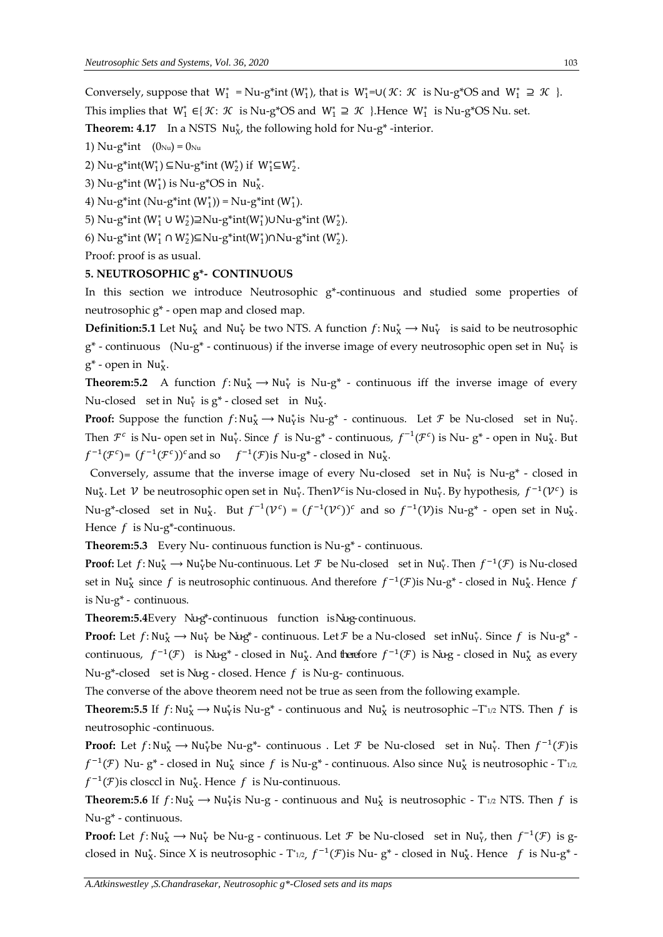Conversely, suppose that  $W_1^* = Nu-g^*int (W_1^*)$ , that is  $W_1^* = \cup (\mathcal{K}: \mathcal{K}$  is  $Nu-g^*OS$  and  $W_1^* \supseteq \mathcal{K}$  }.

This implies that  $W_1^* \in \{ \mathcal{K} : \mathcal{K} \text{ is Nu-g*OS and } W_1^* \supseteq \mathcal{K} \}$ . Hence  $W_1^*$  is Nu-g\*OS Nu. set.

**Theorem: 4.17** In a NSTS Nu<sub>X</sub>, the following hold for Nu-g<sup>\*</sup>-interior.

1)  $Nu-g*int (0_{Nu}) = 0_{Nu}$ 

2) Nu-g\*int(W<sub>1</sub><sup>\*</sup>)  $\subseteq$ Nu-g\*int (W<sub>2</sub><sup>\*</sup>) if W<sub>1</sub><sup>\*</sup> $\subseteq$ W<sub>2</sub><sup>\*</sup>.

3) Nu-g\*int ( $W_1^*$ ) is Nu-g\*OS in Nu $_X^*$ .

4) Nu-g\*int (Nu-g\*int  $(W_1^*)$ ) = Nu-g\*int ( $W_1^*$ ).

5) Nu-g\*int (W<sub>1</sub><sup>\*</sup> ∪ W<sub>2</sub>\*)⊇Nu-g\*int(W<sub>1</sub>\*)∪Nu-g\*int (W<sub>2</sub><sup>\*</sup>).

6) Nu-g\*int (W<sup>\*</sup><sub>1</sub> ∩ W<sup>\*</sup><sub>2</sub>)⊆Nu-g\*int(W<sup>\*</sup><sub>1</sub>)∩Nu-g\*int (W<sup>\*</sup><sub>2</sub>).

Proof: proof is as usual.

#### **5. NEUTROSOPHIC g\*- CONTINUOUS**

In this section we introduce Neutrosophic g\*-continuous and studied some properties of neutrosophic g\* - open map and closed map.

**Definition:5.1** Let  $Nu_{X}^{*}$  and  $Nu_{Y}^{*}$  be two NTS. A function  $f:Nu_{X}^{*} \to Nu_{Y}^{*}$  is said to be neutrosophic  $g^*$  - continuous (Nu- $g^*$  - continuous) if the inverse image of every neutrosophic open set in Nu<sub>Y</sub> is  $g^*$  - open in  $Nu_X^*$ .

**Theorem:5.2** A function  $f: Nu_X^* \to Nu_Y^*$  is Nu-g<sup>\*</sup> - continuous iff the inverse image of every Nu-closed set in  $Nu_{Y}^{*}$  is  $g^{*}$  - closed set in  $Nu_{X}^{*}$ .

**Proof:** Suppose the function  $f: Nu_X^* \to Nu_Y^*$  is  $Nu-g^*$  - continuous. Let  $\mathcal F$  be Nu-closed set in Nu<sub>Y</sub>. Then  $\mathcal{F}^c$  is Nu- open set in Nu $_1^*$ . Since  $f$  is Nu-g\* - continuous,  $f^{-1}(\mathcal{F}^c)$  is Nu-g\* - open in Nu $_1^*$ . But  $f^{-1}(\mathcal{F}^c)$ =  $(f^{-1}(\mathcal{F}^c))^c$  and so  $f^{-1}(\mathcal{F})$  is Nu-g<sup>\*</sup> - closed in Nu<sub>X</sub>.

Conversely, assume that the inverse image of every Nu-closed set in  $Nu_{Y}^{*}$  is Nu-g\* - closed in Nu<sub>X</sub>. Let  $V$  be neutrosophic open set in Nu<sub>Y</sub>. Then $V^c$ is Nu-closed in Nu<sub>Y</sub>. By hypothesis,  $f^{-1}(V^c)$  is Nu-g<sup>\*</sup>-closed set in Nu<sub>X</sub><sup>\*</sup>. But  $f^{-1}(\mathcal{V}^c) = (f^{-1}(\mathcal{V}^c))^c$  and so  $f^{-1}(\mathcal{V})$ is Nu-g<sup>\*</sup> - open set in Nu<sub>X</sub><sup>\*</sup>. Hence  $f$  is Nu-g\*-continuous.

**Theorem:5.3** Every Nu- continuous function is Nu-g\* - continuous.

**Proof:** Let  $f: Nu^*_X \to Nu^*_Y$ be Nu-continuous. Let  $\mathcal F$  be Nu-closed set in Nu<sub>Y</sub>. Then  $f^{-1}(\mathcal F)$  is Nu-closed set in Nu<sub>X</sub> since f is neutrosophic continuous. And therefore  $f^{-1}(\mathcal{F})$ is Nu-g<sup>\*</sup> - closed in Nu<sub>X</sub>. Hence f is Nu-g\* - continuous.

Theorem:5.4Every Nug<sup>\*</sup>-continuous function isNug-continuous.

**Proof:** Let  $f: Nu_X^* \to Nu_Y^*$  be Nug<sup>\*</sup> - continuous. Let  $F$  be a Nu-closed set inNu<sub>Y</sub>. Since  $f$  is Nu-g<sup>\*</sup> continuous,  $f^{-1}(\mathcal{F})$  is Nug<sup>\*</sup> - closed in Nu<sub>X</sub>. And therefore  $f^{-1}(\mathcal{F})$  is Nug - closed in Nu<sub>X</sub><sup>\*</sup> as every Nu-g\*-closed set is Nu-g - closed. Hence  $f$  is Nu-g- continuous.

The converse of the above theorem need not be true as seen from the following example.

**Theorem:5.5** If  $f: Nu_X^* \to Nu_Y^*$  is Nu-g<sup>\*</sup> - continuous and Nu<sub>X</sub><sup>\*</sup> is neutrosophic  $-T^*_{1/2}$  NTS. Then  $f$  is neutrosophic -continuous.

**Proof:** Let  $f: Nu_X^* \to Nu_Y^*$ be Nu-g\*- continuous . Let  $\mathcal F$  be Nu-closed set in Nu<sub>Y</sub>. Then  $f^{-1}(\mathcal F)$ is  $f^{-1}(\mathcal{F})$  Nu-g\* - closed in Nu<sub>X</sub> since  $f$  is Nu-g\* - continuous. Also since Nu<sub>X</sub> is neutrosophic - T\*12,  $f^{-1}(\mathcal{F})$ is closccl in Nu<sub>X</sub>. Hence  $f$  is Nu-continuous.

**Theorem:5.6** If  $f: Nu_X^* \to Nu_Y^*$  is Nu-g - continuous and  $Nu_X^*$  is neutrosophic - T<sub>\*1/2</sub> NTS. Then f is Nu-g\* - continuous.

**Proof:** Let  $f: Nu_X^* \to Nu_Y^*$  be Nu-g - continuous. Let  $\mathcal F$  be Nu-closed set in Nu<sub>Y</sub>, then  $f^{-1}(\mathcal F)$  is gclosed in Nu<sub>X</sub>. Since X is neutrosophic - T<sup>\*</sup>1/2,  $f^{-1}(\mathcal{F})$ is Nu-g<sup>\*</sup> - closed in Nu<sub>X</sub>. Hence f is Nu-g<sup>\*</sup> -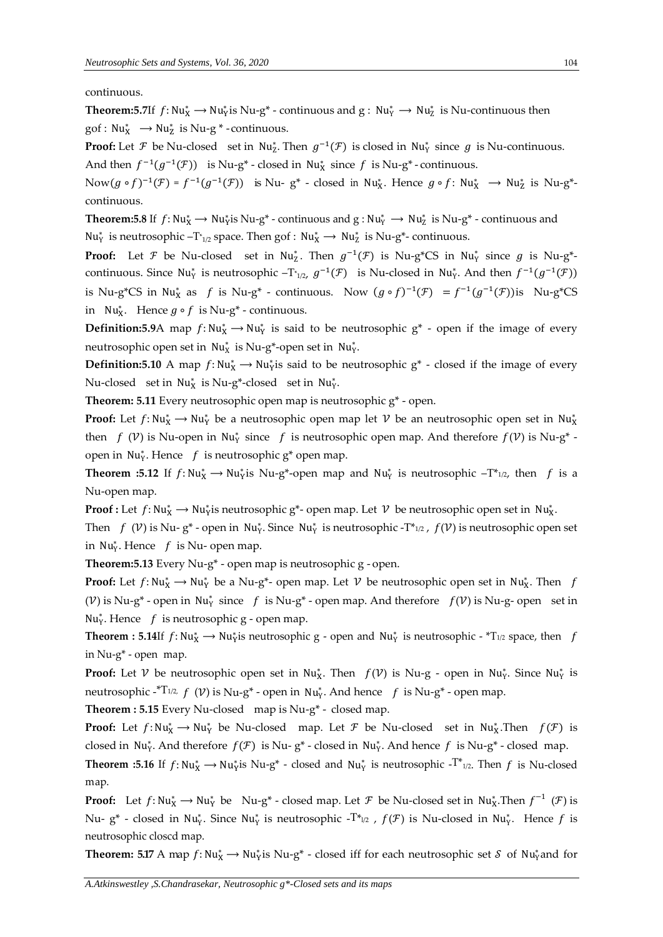continuous.

**Theorem:5.7**If  $f: Nu^*_X \to Nu^*_Y$  is Nu-g<sup>\*</sup> - continuous and  $g: Nu^*_Y \to Nu^*_Z$  is Nu-continuous then  $\text{gof} : \text{Nu}_{X}^{*} \longrightarrow \text{Nu}_{Z}^{*}$  is  $\text{Nu-g}^{*}$  - continuous.

**Proof:** Let  $\mathcal F$  be Nu-closed set in Nu<sub>2</sub>. Then  $g^{-1}(\mathcal F)$  is closed in Nu<sub>Y</sub> since  $g$  is Nu-continuous.

And then  $f^{-1}(g^{-1}(\mathcal{F}))$  is Nu-g<sup>\*</sup> - closed in Nu<sub>X</sub><sup>\*</sup> since f is Nu-g<sup>\*</sup> - continuous.

Now( $g \circ f$ )<sup>-1</sup>( $\mathcal{F}$ ) =  $f^{-1}(g^{-1}(\mathcal{F}))$  is Nu-g<sup>\*</sup> - closed in Nu<sub>X</sub><sup>\*</sup>. Hence  $g \circ f$ : Nu<sub>X</sub><sup>\*</sup> → Nu<sub>Z</sub><sup>\*</sup> is Nu-g<sup>\*</sup>continuous.

**Theorem:5.8** If  $f: Nu^*_X \to Nu^*_{Y}$  is Nu-g<sup>\*</sup> - continuous and  $g: Nu^*_Y \to Nu^*_Z$  is Nu-g<sup>\*</sup> - continuous and Nu<sub>Y</sub> is neutrosophic  $-T^*_{1/2}$  space. Then gof : Nu<sub>X</sub>  $\rightarrow$  Nu<sub>Z</sub><sup>\*</sup> is Nu-g<sup>\*</sup>- continuous.

**Proof:** Let  $\mathcal F$  be Nu-closed set in Nu<sub>Z</sub><sup>\*</sup>. Then  $g^{-1}(\mathcal F)$  is Nu-g\*CS in Nu<sub>Y</sub><sup>\*</sup> since  $g$  is Nu-g\*continuous. Since Nu<sub>Y</sub> is neutrosophic  $-T_{1/2}$ ,  $g^{-1}(\mathcal{F})$  is Nu-closed in Nu<sub>Y</sub>. And then  $f^{-1}(g^{-1}(\mathcal{F}))$ is Nu-g\*CS in Nu<sub>X</sub> as f is Nu-g<sup>\*</sup> - continuous. Now  $(g \circ f)^{-1}(\mathcal{F}) = f^{-1}(g^{-1}(\mathcal{F}))$ is Nu-g\*CS in Nu<sub>X</sub>. Hence  $g \circ f$  is Nu-g<sup>\*</sup> - continuous.

**Definition:5.9**A map  $f: Nu_X^* \to Nu_Y^*$  is said to be neutrosophic  $g^*$  - open if the image of every neutrosophic open set in  $Nu_X^*$  is  $Nu$ -g\*-open set in  $Nu_Y^*$ .

**Definition:5.10** A map  $f: Nu^*_X \to Nu^*_{Y}$  is said to be neutrosophic  $g^*$  - closed if the image of every Nu-closed set in  $Nu_X^*$  is Nu-g<sup>\*</sup>-closed set in  $Nu_Y^*$ .

**Theorem: 5.11** Every neutrosophic open map is neutrosophic g\* - open.

**Proof:** Let  $f: Nu_X^* \to Nu_Y^*$  be a neutrosophic open map let  $V$  be an neutrosophic open set in  $Nu_X^*$ then  $f(\mathcal{V})$  is Nu-open in Nu<sub>Y</sub> since f is neutrosophic open map. And therefore  $f(\mathcal{V})$  is Nu-g<sup>\*</sup> open in  $Nu_{Y}^{*}$ . Hence  $f$  is neutrosophic  $g^{*}$  open map.

**Theorem :5.12** If  $f: Nu_X^* \to Nu_Y^*$  is Nu-g\*-open map and  $Nu_Y^*$  is neutrosophic  $-T^*_{1/2}$ , then  $f$  is a Nu-open map.

**Proof :** Let  $f: Nu_X^* \to Nu_Y^*$  is neutrosophic  $g^*$ - open map. Let  $V$  be neutrosophic open set in  $Nu_X^*$ .

Then  $f(\mathcal{V})$  is Nu-  $g^*$  - open in Nu<sub>Y</sub>. Since Nu<sub>Y</sub> is neutrosophic -T<sup>\*</sup>1/2,  $f(\mathcal{V})$  is neutrosophic open set in Nu<sub>Y</sub>. Hence  $f$  is Nu- open map.

**Theorem:5.13** Every Nu-g\* - open map is neutrosophic g - open.

**Proof:** Let  $f: Nu_X^* \to Nu_Y^*$  be a Nu-g<sup>\*</sup>- open map. Let  $V$  be neutrosophic open set in Nu<sub>X</sub>. Then  $f$ (V) is Nu-g<sup>\*</sup> - open in Nu<sub>Y</sub> since f is Nu-g<sup>\*</sup> - open map. And therefore  $f(V)$  is Nu-g- open set in Nu<sub>Y</sub>. Hence  $f$  is neutrosophic g - open map.

**Theorem : 5.14**If  $f: Nu^*_X \to Nu^*_Y$  is neutrosophic g - open and  $Nu^*_Y$  is neutrosophic - \*T<sub>1/2</sub> space, then f in Nu-g\* - open map.

**Proof:** Let  $V$  be neutrosophic open set in Nu<sub>X</sub>. Then  $f(V)$  is Nu-g - open in Nu<sub>Y</sub>. Since Nu<sub>Y</sub> is neutrosophic -\*T1/2,  $f(\mathcal{V})$  is Nu-g\* - open in Nu<sub>Y</sub>. And hence  $\hspace{0.1 cm} f \hspace{0.1 cm}$  is Nu-g\* - open map.

**Theorem : 5.15** Every Nu-closed map is Nu-g\* - closed map.

**Proof:** Let  $f: Nu_X^* \to Nu_Y^*$  be Nu-closed map. Let  $\mathcal F$  be Nu-closed set in Nu<sub>X</sub>. Then  $f(\mathcal F)$  is closed in Nu<sub>Y</sub>. And therefore  $f(\mathcal{F})$  is Nu-g<sup>\*</sup> - closed in Nu<sub>Y</sub>. And hence f is Nu-g<sup>\*</sup> - closed map.

**Theorem :5.16** If  $f: Nu^*_X \to Nu^*_Y$  is Nu-g<sup>\*</sup> - closed and Nu<sub>Y</sub><sup>\*</sup> is neutrosophic -T<sup>\*</sup><sub>1/2</sub>. Then  $f$  is Nu-closed map.

**Proof:** Let  $f: Nu^*_X \to Nu^*_Y$  be  $Nu-g^*$  - closed map. Let  $\mathcal F$  be Nu-closed set in  $Nu^*_X$ . Then  $f^{-1}(\mathcal F)$  is Nu-  $g^*$  - closed in Nu<sub>Y</sub>. Since Nu<sub>Y</sub> is neutrosophic -T\*<sub>1/2</sub> ,  $f(\mathcal{F})$  is Nu-closed in Nu<sub>Y</sub>. Hence f is neutrosophic closcd map.

**Theorem: 5.17** A map  $f: Nu^*_X \to Nu^*_Y$  is Nu-g<sup>\*</sup> - closed iff for each neutrosophic set  $S$  of Nu<sub>Y</sub>and for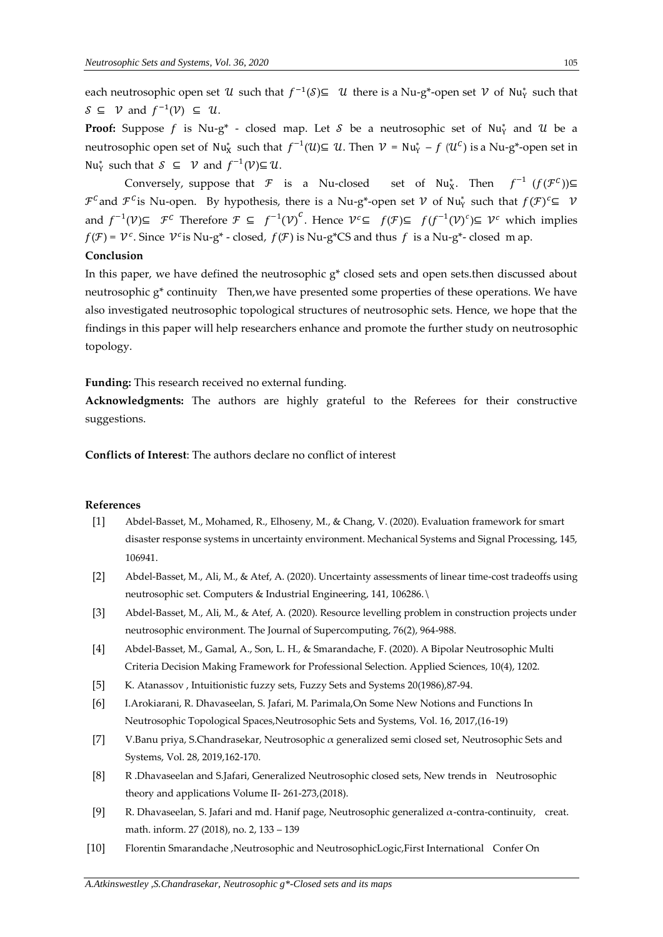each neutrosophic open set  $\mathcal U$  such that  $f^{-1}(\mathcal S) \subseteq \mathcal U$  there is a Nu-g\*-open set  $\mathcal V$  of Nu<sub>Y</sub> such that  $S \subseteq V$  and  $f^{-1}(V) \subseteq U$ .

**Proof:** Suppose f is Nu-g<sup>\*</sup> - closed map. Let  $S$  be a neutrosophic set of Nu<sub>Y</sub><sup>\*</sup> and  $U$  be a neutrosophic open set of  $Nu^*_X$  such that  $f^{-1}(U) \subseteq U$ . Then  $V = Nu^*_Y - f$   $(U^C)$  is a Nu-g\*-open set in  $Nu_{Y}^{*}$  such that  $S \subseteq V$  and  $f^{-1}(V) \subseteq U$ .

Conversely, suppose that  $\mathcal F$  is a Nu-closed  $\chi^*$ . Then  $f^{-1}(f(\mathcal{F}^{\mathcal{C}}))\subseteq$  $\mathcal{F}^c$  and  $\mathcal{F}^c$  is Nu-open. By hypothesis, there is a Nu-g\*-open set  $\mathcal V$  of Nu<sub>Y</sub> such that  $f(\mathcal{F})^c$  $\subseteq$   $\mathcal V$ and  $f^{-1}(V) \subseteq \mathcal{F}^c$  Therefore  $\mathcal{F} \subseteq f^{-1}(V)^c$ . Hence  $V^c \subseteq f(\mathcal{F}) \subseteq f(f^{-1}(V)^c) \subseteq V^c$  which implies  $f(\mathcal{F}) = \mathcal{V}^c$ . Since  $\mathcal{V}^c$  is Nu-g<sup>\*</sup> - closed,  $f(\mathcal{F})$  is Nu-g<sup>\*</sup>CS and thus f is a Nu-g<sup>\*</sup>- closed m ap.

## **Conclusion**

In this paper, we have defined the neutrosophic g\* closed sets and open sets.then discussed about neutrosophic  $g^*$  continuity Then, we have presented some properties of these operations. We have also investigated neutrosophic topological structures of neutrosophic sets. Hence, we hope that the findings in this paper will help researchers enhance and promote the further study on neutrosophic topology.

**Funding:** This research received no external funding.

**Acknowledgments:** The authors are highly grateful to the Referees for their constructive suggestions.

**Conflicts of Interest**: The authors declare no conflict of interest

#### **References**

- [1] Abdel-Basset, M., Mohamed, R., Elhoseny, M., & Chang, V. (2020). Evaluation framework for smart disaster response systems in uncertainty environment. Mechanical Systems and Signal Processing, 145, 106941.
- [2] Abdel-Basset, M., Ali, M., & Atef, A. (2020). Uncertainty assessments of linear time-cost tradeoffs using neutrosophic set. Computers & Industrial Engineering, 141, 106286.\
- [3] Abdel-Basset, M., Ali, M., & Atef, A. (2020). Resource levelling problem in construction projects under neutrosophic environment. The Journal of Supercomputing, 76(2), 964-988.
- [4] Abdel-Basset, M., Gamal, A., Son, L. H., & Smarandache, F. (2020). A Bipolar Neutrosophic Multi Criteria Decision Making Framework for Professional Selection. Applied Sciences, 10(4), 1202.
- [5] K. Atanassov, Intuitionistic fuzzy sets, Fuzzy Sets and Systems 20(1986), 87-94.
- [6] I.Arokiarani, R. Dhavaseelan, S. Jafari, M. Parimala,On Some New Notions and Functions In Neutrosophic Topological Spaces,Neutrosophic Sets and Systems, Vol. 16, 2017,(16-19)
- [7] V.Banu priya, S.Chandrasekar, Neutrosophic α generalized semi closed set, Neutrosophic Sets and Systems, Vol. 28, 2019,162-170.
- [8] R .Dhavaseelan and S.Jafari, Generalized Neutrosophic closed sets, New trends in Neutrosophic theory and applications Volume II- 261-273,(2018).
- [9] R. Dhavaseelan, S. Jafari and md. Hanif page, Neutrosophic generalized  $\alpha$ -contra-continuity, creat. math. inform. 27 (2018), no. 2, 133 – 139
- [10] Florentin Smarandache ,Neutrosophic and NeutrosophicLogic,First International Confer On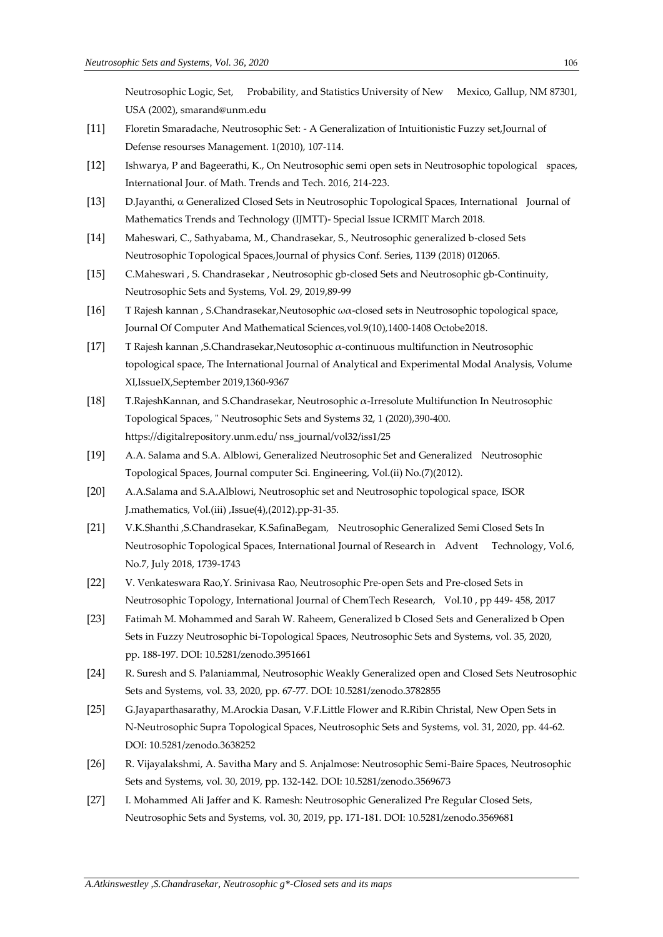Neutrosophic Logic, Set, Probability, and Statistics University of New Mexico, Gallup, NM 87301, USA (2002), smarand@unm.edu

- [11] Floretin Smaradache, Neutrosophic Set: A Generalization of Intuitionistic Fuzzy set,Journal of Defense resourses Management. 1(2010), 107-114.
- [12] Ishwarya, P and Bageerathi, K., On Neutrosophic semi open sets in Neutrosophic topological spaces, International Jour. of Math. Trends and Tech. 2016, 214-223.
- [13] D.Jayanthi, Generalized Closed Sets in Neutrosophic Topological Spaces, International Journal of Mathematics Trends and Technology (IJMTT)- Special Issue ICRMIT March 2018.
- [14] Maheswari, C., Sathyabama, M., Chandrasekar, S., Neutrosophic generalized b-closed Sets Neutrosophic Topological Spaces,Journal of physics Conf. Series, 1139 (2018) 012065.
- [15] C.Maheswari , S. Chandrasekar , Neutrosophic gb-closed Sets and Neutrosophic gb-Continuity, Neutrosophic Sets and Systems, Vol. 29, 2019,89-99
- [16] T Rajesh kannan , S.Chandrasekar,Neutosophic ωα-closed sets in Neutrosophic topological space, Journal Of Computer And Mathematical Sciences,vol.9(10),1400-1408 Octobe2018.
- [17] T Rajesh kannan ,S.Chandrasekar,Neutosophic α-continuous multifunction in Neutrosophic topological space, The International Journal of Analytical and Experimental Modal Analysis, Volume XI,IssueIX,September 2019,1360-9367
- [18] T.RajeshKannan, and S.Chandrasekar, Neutrosophic α-Irresolute Multifunction In Neutrosophic Topological Spaces, " Neutrosophic Sets and Systems 32, 1 (2020),390-400. https://digitalrepository.unm.edu/ nss\_journal/vol32/iss1/25
- [19] A.A. Salama and S.A. Alblowi, Generalized Neutrosophic Set and Generalized Neutrosophic Topological Spaces, Journal computer Sci. Engineering, Vol.(ii) No.(7)(2012).
- [20] A.A.Salama and S.A.Alblowi, Neutrosophic set and Neutrosophic topological space, ISOR J.mathematics, Vol.(iii) ,Issue(4),(2012).pp-31-35.
- [21] V.K.Shanthi ,S.Chandrasekar, K.SafinaBegam, Neutrosophic Generalized Semi Closed Sets In Neutrosophic Topological Spaces, International Journal of Research in Advent Technology, Vol.6, No.7, July 2018, 1739-1743
- [22] V. Venkateswara Rao,Y. Srinivasa Rao, Neutrosophic Pre-open Sets and Pre-closed Sets in Neutrosophic Topology, International Journal of ChemTech Research, Vol.10 , pp 449- 458, 2017
- [23] Fatimah M. Mohammed and Sarah W. Raheem, [Generalized b Closed Sets and Generalized b Open](http://fs.unm.edu/NSS/GeneralizedBClosedSets11.pdf)  Sets in Fuzzy Neutrosophic [bi-Topological Spaces,](http://fs.unm.edu/NSS/GeneralizedBClosedSets11.pdf) Neutrosophic Sets and Systems, vol. 35, 2020, pp. 188-197. DOI: 10.5281/zenodo.3951661
- [24] R. Suresh and S. Palaniammal, Neutrosophic Weakly Generalized open and Closed Sets Neutrosophic Sets and Systems, vol. 33, 2020, pp. 67-77. DOI: 10.5281/zenodo.3782855
- [25] G.Jayaparthasarathy, M.Arockia Dasan, V.F.Little Flower and R.Ribin Christal, [New Open Sets in](http://fs.unm.edu/NSS/N-NeutrosophicSupraTopological.pdf)  [N-Neutrosophic Supra Topological Spaces,](http://fs.unm.edu/NSS/N-NeutrosophicSupraTopological.pdf) Neutrosophic Sets and Systems, vol. 31, 2020, pp. 44-62. DOI: 10.5281/zenodo.3638252
- [26] R. Vijayalakshmi, A. Savitha Mary and S. Anjalmose: Neutrosophic Semi-Baire Spaces, Neutrosophic Sets and Systems, vol. 30, 2019, pp. 132-142. DOI: 10.5281/zenodo.3569673
- [27] I. Mohammed Ali Jaffer and K. Ramesh: Neutrosophic Generalized Pre Regular Closed Sets, Neutrosophic Sets and Systems, vol. 30, 2019, pp. 171-181. DOI: 10.5281/zenodo.3569681